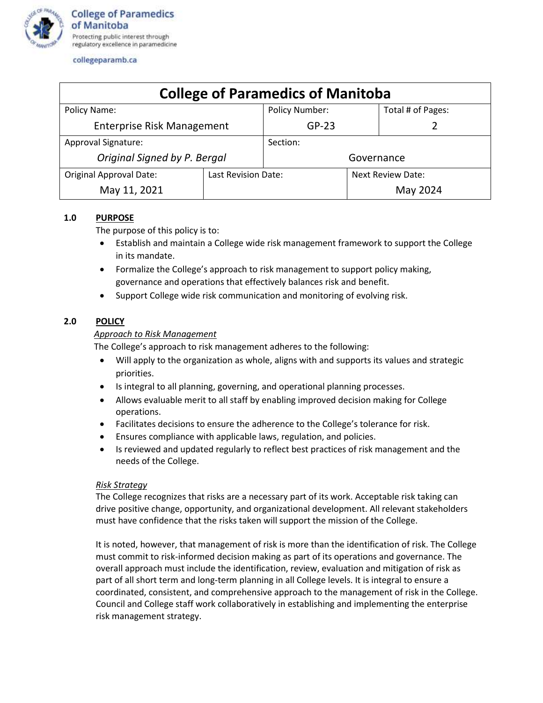

collegeparamb.ca

| <b>College of Paramedics of Manitoba</b> |                     |                |                   |                   |
|------------------------------------------|---------------------|----------------|-------------------|-------------------|
| Policy Name:                             |                     | Policy Number: |                   | Total # of Pages: |
| <b>Enterprise Risk Management</b>        |                     | $GP-23$        |                   |                   |
| <b>Approval Signature:</b>               |                     | Section:       |                   |                   |
| Original Signed by P. Bergal             |                     | Governance     |                   |                   |
| <b>Original Approval Date:</b>           | Last Revision Date: |                | Next Review Date: |                   |
| May 11, 2021                             |                     |                |                   | May 2024          |

# **1.0 PURPOSE**

The purpose of this policy is to:

- Establish and maintain a College wide risk management framework to support the College in its mandate.
- Formalize the College's approach to risk management to support policy making, governance and operations that effectively balances risk and benefit.
- Support College wide risk communication and monitoring of evolving risk.

# **2.0 POLICY**

# *Approach to Risk Management*

The College's approach to risk management adheres to the following:

- Will apply to the organization as whole, aligns with and supports its values and strategic priorities.
- Is integral to all planning, governing, and operational planning processes.
- Allows evaluable merit to all staff by enabling improved decision making for College operations.
- Facilitates decisions to ensure the adherence to the College's tolerance for risk.
- Ensures compliance with applicable laws, regulation, and policies.
- Is reviewed and updated regularly to reflect best practices of risk management and the needs of the College.

## *Risk Strategy*

The College recognizes that risks are a necessary part of its work. Acceptable risk taking can drive positive change, opportunity, and organizational development. All relevant stakeholders must have confidence that the risks taken will support the mission of the College.

It is noted, however, that management of risk is more than the identification of risk. The College must commit to risk-informed decision making as part of its operations and governance. The overall approach must include the identification, review, evaluation and mitigation of risk as part of all short term and long-term planning in all College levels. It is integral to ensure a coordinated, consistent, and comprehensive approach to the management of risk in the College. Council and College staff work collaboratively in establishing and implementing the enterprise risk management strategy.